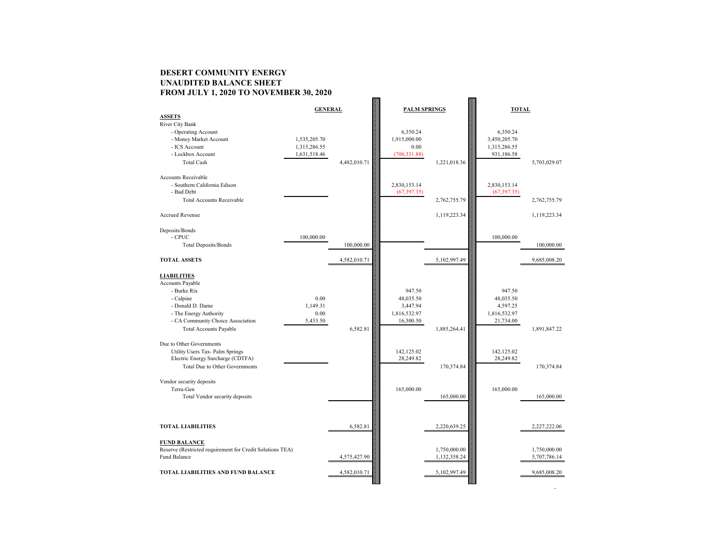# **DESERT COMMUNITY ENERGY UNAUDITED BALANCE SHEET FROM JULY 1, 2020 TO NOVEMBER 30, 2020**

|                                                                           | <b>GENERAL</b> |              | <b>PALM SPRINGS</b> |                              | <b>TOTAL</b> |                              |  |
|---------------------------------------------------------------------------|----------------|--------------|---------------------|------------------------------|--------------|------------------------------|--|
| <b>ASSETS</b>                                                             |                |              |                     |                              |              |                              |  |
| River City Bank                                                           |                |              |                     |                              |              |                              |  |
| - Operating Account                                                       |                |              | 6,350.24            |                              | 6,350.24     |                              |  |
| - Money Market Account                                                    | 1,535,205.70   |              | 1,915,000.00        |                              | 3,450,205.70 |                              |  |
| - ICS Account                                                             | 1,315,286.55   |              | 0.00                |                              | 1,315,286.55 |                              |  |
| - Lockbox Account                                                         | 1,631,518.46   |              | (700, 331.88)       |                              | 931,186.58   |                              |  |
| <b>Total Cash</b>                                                         |                | 4,482,010.71 |                     | 1,221,018.36                 |              | 5,703,029.07                 |  |
| <b>Accounts Receivable</b>                                                |                |              |                     |                              |              |                              |  |
| - Southern California Edison                                              |                |              | 2,830,153.14        |                              | 2,830,153.14 |                              |  |
| - Bad Debt                                                                |                |              | (67, 397.35)        |                              | (67, 397.35) |                              |  |
| <b>Total Accounts Receivable</b>                                          |                |              |                     | 2,762,755.79                 |              | 2,762,755.79                 |  |
|                                                                           |                |              |                     |                              |              |                              |  |
| Accrued Revenue                                                           |                |              |                     | 1,119,223.34                 |              | 1,119,223.34                 |  |
|                                                                           |                |              |                     |                              |              |                              |  |
| Deposits/Bonds                                                            |                |              |                     |                              |              |                              |  |
| $-CPUC$                                                                   | 100,000.00     |              |                     |                              | 100,000.00   |                              |  |
| <b>Total Deposits/Bonds</b>                                               |                | 100,000.00   |                     |                              |              | 100,000.00                   |  |
| <b>TOTAL ASSETS</b>                                                       |                | 4,582,010.71 |                     | 5,102,997.49                 |              |                              |  |
|                                                                           |                |              |                     |                              |              | 9,685,008.20                 |  |
| <b>LIABILITIES</b>                                                        |                |              |                     |                              |              |                              |  |
| <b>Accounts Payable</b>                                                   |                |              |                     |                              |              |                              |  |
| - Burke Rix                                                               |                |              | 947.50              |                              | 947.50       |                              |  |
| - Calpine                                                                 | 0.00           |              | 48,035.50           |                              | 48,035.50    |                              |  |
| - Donald D. Dame                                                          | 1,149.31       |              | 3,447.94            |                              | 4,597.25     |                              |  |
| - The Energy Authority                                                    | 0.00           |              | 1,816,532.97        |                              | 1,816,532.97 |                              |  |
| - CA Community Choice Association                                         | 5,433.50       |              | 16,300.50           |                              | 21,734.00    |                              |  |
| Total Accounts Payable                                                    |                | 6,582.81     |                     | 1,885,264.41                 |              | 1,891,847.22                 |  |
|                                                                           |                |              |                     |                              |              |                              |  |
| Due to Other Governments                                                  |                |              |                     |                              |              |                              |  |
| Utility Users Tax- Palm Springs                                           |                |              | 142,125.02          |                              | 142,125.02   |                              |  |
| Electric Energy Surcharge (CDTFA)                                         |                |              | 28,249.82           |                              | 28,249.82    |                              |  |
| <b>Total Due to Other Governments</b>                                     |                |              |                     | 170,374.84                   |              | 170,374.84                   |  |
|                                                                           |                |              |                     |                              |              |                              |  |
| Vendor security deposits                                                  |                |              |                     |                              |              |                              |  |
| Terra-Gen                                                                 |                |              | 165,000.00          |                              | 165,000.00   |                              |  |
| Total Vendor security deposits                                            |                |              |                     | 165,000.00                   |              | 165,000.00                   |  |
|                                                                           |                |              |                     |                              |              |                              |  |
|                                                                           |                |              |                     |                              |              |                              |  |
|                                                                           |                |              |                     |                              |              |                              |  |
| <b>TOTAL LIABILITIES</b>                                                  |                | 6,582.81     |                     | 2,220,639.25                 |              | 2,227,222.06                 |  |
|                                                                           |                |              |                     |                              |              |                              |  |
| <b>FUND BALANCE</b>                                                       |                |              |                     |                              |              |                              |  |
| Reserve (Restricted requirement for Credit Solutions TEA)<br>Fund Balance |                | 4,575,427.90 |                     | 1,750,000.00<br>1,132,358.24 |              | 1,750,000.00<br>5,707,786.14 |  |
|                                                                           |                |              |                     |                              |              |                              |  |
| <b>TOTAL LIABILITIES AND FUND BALANCE</b>                                 |                | 4,582,010.71 |                     | 5,102,997.49                 |              | 9,685,008.20                 |  |
|                                                                           |                |              |                     |                              |              |                              |  |
|                                                                           |                |              |                     |                              |              |                              |  |
|                                                                           |                |              |                     |                              |              |                              |  |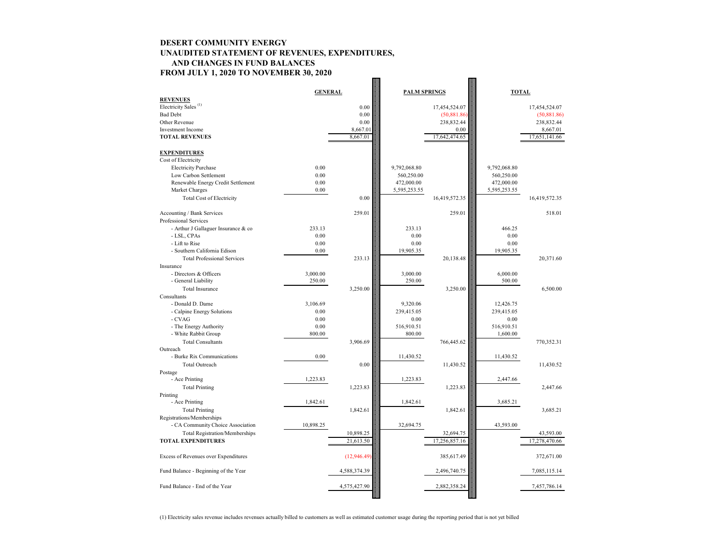### **DESERT COMMUNITY ENERGY UNAUDITED STATEMENT OF REVENUES, EXPENDITURES, AND CHANGES IN FUND BALANCES FROM JULY 1, 2020 TO NOVEMBER 30, 2020**  $\frac{1}{2}$

|                                       | <b>GENERAL</b> |              | <b>PALM SPRINGS</b> |               | <b>TOTAL</b> |               |
|---------------------------------------|----------------|--------------|---------------------|---------------|--------------|---------------|
| <b>REVENUES</b>                       |                |              |                     |               |              |               |
| Electricity Sales <sup>(1)</sup>      |                | 0.00         |                     | 17,454,524.07 |              | 17,454,524.07 |
| <b>Bad Debt</b>                       |                | 0.00         |                     | (50,881.86)   |              | (50,881.86)   |
| Other Revenue                         |                | 0.00         |                     | 238,832.44    |              | 238,832.44    |
| <b>Investment Income</b>              |                | 8,667.01     |                     | 0.00          |              | 8,667.01      |
| <b>TOTAL REVENUES</b>                 |                | 8,667.01     |                     | 17,642,474.65 |              | 17,651,141.66 |
|                                       |                |              |                     |               |              |               |
| <b>EXPENDITURES</b>                   |                |              |                     |               |              |               |
| Cost of Electricity                   |                |              |                     |               |              |               |
| <b>Electricity Purchase</b>           | 0.00           |              | 9,792,068.80        |               | 9,792,068.80 |               |
| Low Carbon Settlement                 | 0.00           |              | 560,250.00          |               | 560,250.00   |               |
| Renewable Energy Credit Settlement    | 0.00           |              | 472,000.00          |               | 472,000.00   |               |
| Market Charges                        | 0.00           |              | 5,595,253.55        |               | 5,595,253.55 |               |
| <b>Total Cost of Electricity</b>      |                | 0.00         |                     | 16,419,572.35 |              | 16,419,572.35 |
| Accounting / Bank Services            |                | 259.01       |                     | 259.01        |              | 518.01        |
| Professional Services                 |                |              |                     |               |              |               |
| - Arthur J Gallaguer Insurance & co   | 233.13         |              | 233.13              |               | 466.25       |               |
| - LSL, CPAs                           | 0.00           |              | 0.00                |               | 0.00         |               |
| - Lift to Rise                        | 0.00           |              | 0.00                |               | 0.00         |               |
| - Southern California Edison          | 0.00           |              | 19,905.35           |               | 19,905.35    |               |
| <b>Total Professional Services</b>    |                | 233.13       |                     | 20,138.48     |              | 20,371.60     |
| Insurance                             |                |              |                     |               |              |               |
| - Directors & Officers                | 3,000.00       |              | 3,000.00            |               | 6,000.00     |               |
| - General Liability                   | 250.00         |              | 250.00              |               | 500.00       |               |
| <b>Total Insurance</b>                |                | 3,250.00     |                     | 3,250.00      |              | 6,500.00      |
| Consultants                           |                |              |                     |               |              |               |
| - Donald D. Dame                      | 3,106.69       |              | 9,320.06            |               | 12,426.75    |               |
| - Calpine Energy Solutions            | 0.00           |              | 239,415.05          |               | 239,415.05   |               |
| $-CVAG$                               | 0.00           |              | 0.00                |               | 0.00         |               |
| - The Energy Authority                | 0.00           |              | 516,910.51          |               | 516,910.51   |               |
| - White Rabbit Group                  | 800.00         |              | 800.00              |               | 1,600.00     |               |
| <b>Total Consultants</b>              |                | 3,906.69     |                     | 766,445.62    |              | 770,352.31    |
| Outreach                              |                |              |                     |               |              |               |
| - Burke Rix Communications            | 0.00           |              | 11,430.52           |               | 11,430.52    |               |
| Total Outreach                        |                | $0.00\,$     |                     | 11,430.52     |              | 11,430.52     |
| Postage                               |                |              |                     |               |              |               |
| - Ace Printing                        | 1,223.83       |              | 1,223.83            |               | 2,447.66     |               |
| <b>Total Printing</b>                 |                | 1,223.83     |                     | 1,223.83      |              | 2,447.66      |
| Printing                              |                |              |                     |               |              |               |
| - Ace Printing                        | 1,842.61       |              | 1,842.61            |               | 3,685.21     |               |
| <b>Total Printing</b>                 |                | 1,842.61     |                     | 1,842.61      |              | 3,685.21      |
| Registrations/Memberships             |                |              |                     |               |              |               |
| - CA Community Choice Association     | 10,898.25      |              | 32,694.75           |               | 43,593.00    |               |
| <b>Total Registration/Memberships</b> |                | 10,898.25    |                     | 32,694.75     |              | 43,593.00     |
| <b>TOTAL EXPENDITURES</b>             |                | 21,613.50    |                     | 17,256,857.16 |              | 17,278,470.66 |
|                                       |                |              |                     |               |              |               |
| Excess of Revenues over Expenditures  |                | (12,946.49)  |                     | 385,617.49    |              | 372,671.00    |
|                                       |                |              |                     |               |              |               |
| Fund Balance - Beginning of the Year  |                | 4,588,374.39 |                     | 2,496,740.75  |              | 7,085,115.14  |
|                                       |                |              |                     |               |              |               |
| Fund Balance - End of the Year        |                | 4,575,427.90 |                     | 2,882,358.24  |              | 7,457,786.14  |
|                                       |                |              |                     |               |              |               |

(1) Electricity sales revenue includes revenues actually billed to customers as well as estimated customer usage during the reporting period that is not yet billed